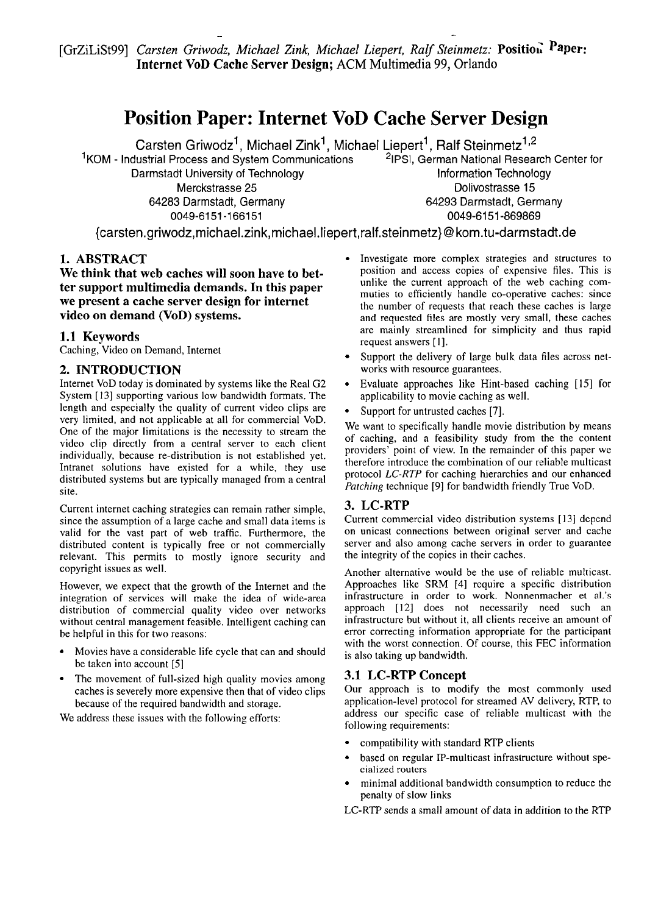[GrZiLiSt99] *Carsten Griwodz, Michael Zink, Michael Liepert, Ralf Steinmetz: Position Paper:* **Internet VoD Cache Server Design;** ACM Multimedia **99,** Orlando

- -

# **Position Paper: Internet VoD Cache Server Design**

Carsten Griwodz<sup>1</sup>, Michael Zink<sup>1</sup>, Michael Liepert<sup>1</sup>, Ralf Steinmetz<sup>1,2</sup><br>Justrial Process and System Communications <sup>2</sup>IPSI, German National Research Center for

<sup>1</sup> KOM - Industrial Process and System Communications Darmstadt University of Technology **Information Technology Information Technology** 

0049-6151-166151 0049-6151-869869

Merckstrasse 25 Dolivostrasse 15 64283 Darrnstadt, Germany 64293 Darmstadt, Germany

{carsten.griwodz,michael.zink,michael.liepert,ralf.steinmetz)@ kom.tu-darmstadt.de

# **1. ABSTRACT**

**We think that web caches will soon have to better support multimedia demands. In this paper we present a cache server design for internet video on demand (VoD) systems.** 

### **1.1 Keywords**

Caching, Video on Demand, Internet

#### **2. INTRODUCTION**

Internet VoD today is dominated by systems like the Real G2 System [I31 supporting various low bandwidth formats. The length and especially the quality of current video clips are very limited, and not applicable at all for commercial VoD. One of the major limitations is the necessity to stream the video clip directly from a central server to each client individually, because re-distribution is not established yet. Intranet solutions have existed for a while, they use distributed systems but are typically managed from a central site.

Current internet caching strategies can remain rather simple, since the assumption of a large cache and small data items is valid for the vast part of web traffic. Furthermore, the distributed content is typically free or not commercially relevant. This permits to mostly ignore security and copyright issues as well.

However, we expect that the growth of the Internet and the integration of services will make the idea of wide-area distribution of commercial quality video over networks without central management feasible. Intelligent caching can be helpful in this for two reasons:

- Movies have a considerable life cycle that can and should be taken into account [5]
- The movement of full-sized high quality movies among caches is severely more expensive then that of video clips because of the required bandwidth and storage.

We address these issues with the following efforts:

- Investigate more complex strategies and structures to position and access copies of expensive files. This is unlike the current approach of the web caching commuties to efficiently handle co-operative caches: since the number of requests that reach these caches is large and requested files are mostly very small, these caches are mainly streamlined for simplicity and thus rapid request answers [I].
- Support the delivery of large bulk data files across networks with resource guarantees.
- Evaluate approaches like Hint-based caching [I51 for applicability to movie caching as well.
- Support for untrusted caches [7].

We want to specifically handle movie distribution by means of caching, and a feasibility study from the the content providers' point of view. In the remainder of this paper we therefore introduce the combination of our reliable multicast protocol LC-RTP for caching hierarchies and our enhanced *Patching technique* [9] for bandwidth friendly True VoD.

### **3. LC-RTP**

Current commercial video distribution systems [I31 dcpend on unicast connections between original server and cache server and also among cache servers in order to guarantee the integrity of the copies in their caches.

Another alternative would be the use of reliable multicast. Approaches like SRM [4] require a specific distribution infrastructure in order to work. Nonnenmacher et al.'s approach [12] does not necessarily need such an infrastructure but without it, all clients receive an amount of error correcting information appropriate for the participant with the worst connection. Of course, this FEC information is also taking up bandwidth.

### **3.1 LC-RTP Concept**

Our approach is to modify the most commonly used application-level protocol for streamed AV delivery, RTP, to address our specific case of reliable multicast with the following requirements:

- compatibility with standard RTP clients
- based on regular IP-multicast infrastructure without specialized routcrs
- minimal additional bandwidth consumption to reduce the penalty of slow links

LC-RTP sends a small amount of data in addition to the RTP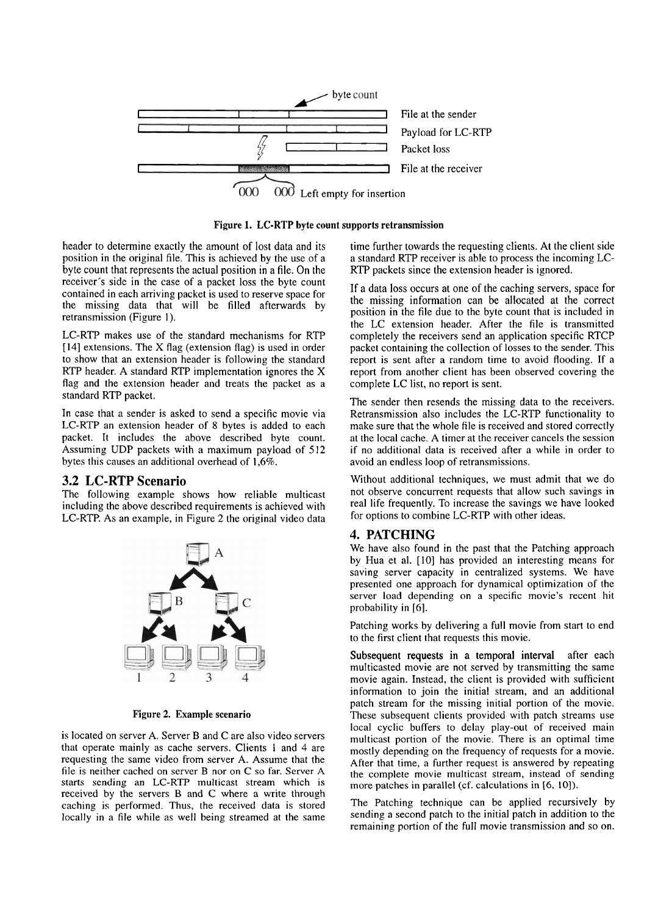

**Figure 1. LC-RTP byte count supports retransmission** 

position in the original file. This is achieved by the use of a a standard RTP receiver is able to process the incoming LC-<br>byte count that represents the actual position in a file. On the RTP packets since the extension h byte count that represents the actual position in a file. On the receiver's side in the case of a packet loss the byte count contained in each arriving packet is used to reserve space for If a data loss occurs at one of the caching servers, space for the missing information can be allocated at the correct the missing information can be allocated the missing data that will be filled afterwards by the initial distribution (Figure 1).<br> **position** in the file due to the byte count that is included in<br> **position** in the file due to the byte count that is included in

LC-RTP makes use of the standard mechanisms for RTP  $[14]$  extensions. The X flag (extension flag) is used in order to show that an extension header is following the standard RTP header. A standard RTP implementation ignores the  $X$ flag and the extension header and treats the packet as a standard RTP packet.

In case that a sender is asked to send a specific movie via LC-RTP an extension header of 8 bytes is added to each packet. It includes the above described byte count. Assuming UDP packets with a maximum payload of 512 bytes this causes an additional overhead of 1,6%.

### **3.2 LC-RTP Scenario**

The following example shows how reliable multicast including the above described requirernents is achieved with LC-RTP. As an example, in Figure 2 the original video data



**Figure 2. Example scenario** 

is located on server A. Server B and C are also video servers that operate mainly as cache servers. Clients 1 and 4 are requesting the Same video from server A. Assume that the file is neither cached on server B nor on C so far. Server **A**  starts sending an LC-RTP multicast stream which is received by the servers B and *C* where a write through caching is perforrned. Thus, the received data is stored locally in a file while as well being streamed at the same

header to determine exactly the amount of lost data and its time further towards the requesting clients. At the client side

the LC extension header. After the file is transrnitted completely the receivers send an application specific RTCP packet containing the collection of losses to the sender. This report is sent after a random time to avoid flooding. If a report frorn another client has been observed covering the complete LC list, no report is sent.

The sender then resends the missing data to the receivers. Retransmission also includes the LC-RTP functionality to make Sure that the whole file is received and stored correctly at the local cache. A timer at the receiver cancels the session if no additional data is received after a while in order to avoid an endless loop of retransmissions.

Without additional techniques, we must admit that we do not observe concurrent requests that allow such savings in real life frequently. To increase the savings we have looked for options to combine LC-RTP with other ideas.

# 4. PATCHING

We have also found in the past that the Patching approach by Hua et al. [10] has provided an interesting means for saving server capacity in centralized systems. We have presented one approach for dynamical optimization of the server load depending on a specific movie's recent hit probability in [6].

Patching works by delivering a full movie from start to end to the first client that requests this movie.

Subsequent requests in a temporal interval after each multicasted movie are not served by transmitting the Same movie again. Instead, the client is provided with sufficient information to join the initial stream, and an additional patch stream for the missing initial portion of the movie. These subsequent clients provided with patch streams use local cyclic buffers to delay play-out of received main multicast portion of the movie. There is an optimal time mostly depending on the frequency of requests for a movie. After that time, a further request is answered by repeating the complete movie multicast stream, instead of sending more patches in parallel (cf. calculations in [6, 10]).

The Patching technique can be applied recursively by sending a second patch to the initial patch in addition to the remaining portion of the full movie transmission and so on.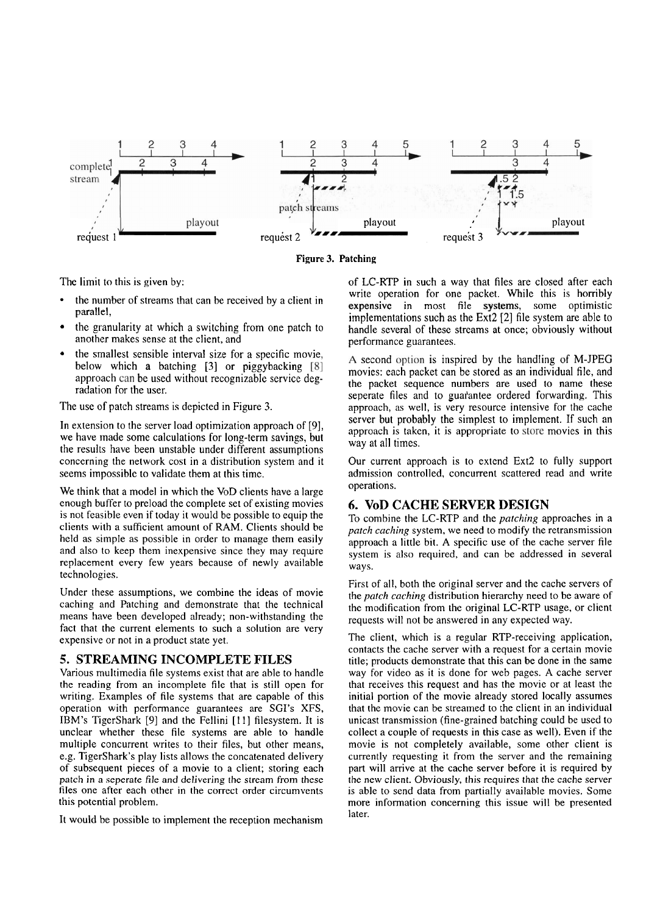

Figure **3.** Patching

- 
- another makes sense at the client, and performance guarantees.
- the smallest sensible interval size for a specific movie,<br>below which a batching [3] or piggybacking [8] A second option is inspired by the handling of M-JPEG<br>movies: each packet can be stored as an individual file, and

we have made some calculations for long-term savings, but the results have been unstable under different assumptions concerning the network cost in a distribution system and it seems impossible to validate them at this time.

We think that a model in which the VoD clients have a large enough buffer to preload the complete Set of existing movies is not feasible even if today it would be possible to equip the clients with a sufficient amount of RAM. Clients should be held as simple as possible in order to manage them easily and also to keep them inexpensive since they may require replacement every few years because of newly available technologies.

Under these assumptions, we combine the ideas of movie caching and Patching and demonstrate that the technical means have been developed already; non-withstanding the fact that the current elements to such a solution are very expensive or not in a product state yet.

#### **5. STREAMING INCOMPLETE FILES**

Various multimedia file systems exist that are able to handle the reading from an incomplete file that is still Open for writing. Examples of file systems that are capable of this operation with performance guarantees are SGI's XFS, IBM's TigerShark [9] and the Fellini [I I] filesystem. It is unclear whether these file Systems are able to handle multiple concurrent writes to their files, but other means, e.g. TigerShark's play lists allows the concatenated delivery of subsequent pieces of a movie to a client; storing each patch in *a* seperate file and delivering the stream from these files one after each other in the correct order circumvents this potential problem.

It would be possible to implement the reception mechanism

The limit to this is given by:<br> **of LC-RTP** in such a way that files are closed after each<br>
write operation for one packet. While this is horribly the number of streams that can be received by a client in<br>expensive in most file systems, some optimistic<br>implementation such as the Euro for file some optimistic parallel,<br>the granularity at which a switching from one patch to handle several of these streams at once; obviously without handle several of these streams at once; obviously without

approach can be used without recognizable service deg-<br>
radation for the user.<br>
The use of patch streams is depicted in Figure 3.<br>
The use of patch streams is depicted in Figure 3.<br>
Letter all the stream of the cache separ In extension to the server load optimization approach of  $[9]$ , approach is taken, it is appropriate to store movies in this way at all times.

> Our current approach is to extend Ext2 to fully Support admission controlled, concurrent scattered read and write operations.

## **6. VoD CACHE SERVER DESIGN**

To combine the LC-RTP and the *patching* approaches in a *patch caching system, we need to modify the retransmission* approach a little bit. **A** specific use of the cache server file system is also required, and can be addressed in several ways.

First of all, both the original server and the cache servers of the *patch caching* distribution hierarchy need to be aware of thc modification from the original LC-RTP usage, or client requests will not be answered in any expected way.

The client, which is a regular RTP-receiving application, contacts the cache server with a request for a certain movie title; products demonstrate that this can be done in the Same way for video as it is done for web pages. **A** cache server that receives this request and has the movie or at least the initial portion of the movie already stored locally assumes that the movie can be streamed to the client in an individual unicast transmission (fine-grained batching could be used to collect a couple of requests in this case as well). Even if the movie is not completely available, some other client is currently requesting it from the server and the remaining part will arrive at the cache server before it is required by the new client. Obviously, this requires that the cache server is able to send data from partially available movies. Some more information concerning this issue will be presented later.